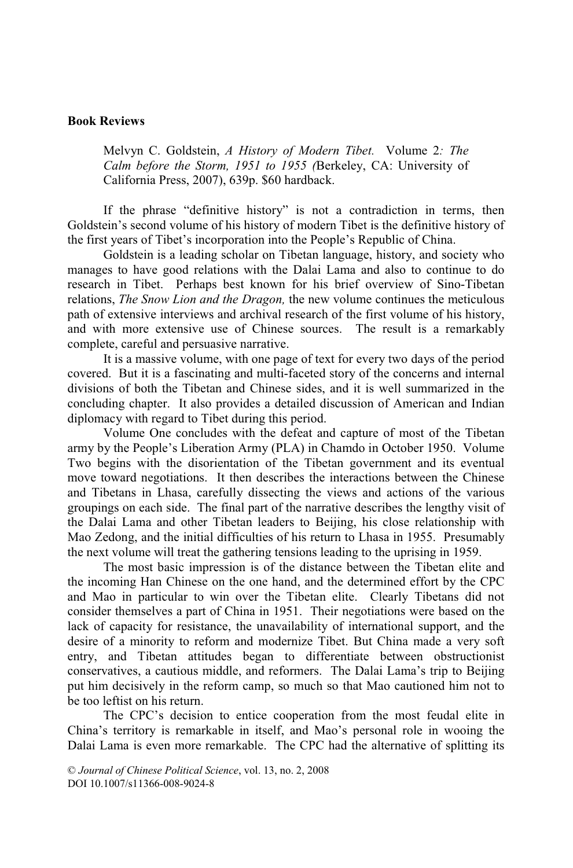# **Book Reviews**

Melvyn C. Goldstein, *A History of Modern Tibet.* Volume 2*: The Calm before the Storm, 1951 to 1955 (*Berkeley, CA: University of California Press, 2007), 639p. \$60 hardback.

If the phrase "definitive history" is not a contradiction in terms, then Goldstein's second volume of his history of modern Tibet is the definitive history of the first years of Tibet's incorporation into the People's Republic of China.

Goldstein is a leading scholar on Tibetan language, history, and society who manages to have good relations with the Dalai Lama and also to continue to do research in Tibet. Perhaps best known for his brief overview of Sino-Tibetan relations, *The Snow Lion and the Dragon,* the new volume continues the meticulous path of extensive interviews and archival research of the first volume of his history, and with more extensive use of Chinese sources. The result is a remarkably complete, careful and persuasive narrative.

It is a massive volume, with one page of text for every two days of the period covered. But it is a fascinating and multi-faceted story of the concerns and internal divisions of both the Tibetan and Chinese sides, and it is well summarized in the concluding chapter. It also provides a detailed discussion of American and Indian diplomacy with regard to Tibet during this period.

Volume One concludes with the defeat and capture of most of the Tibetan army by the People's Liberation Army (PLA) in Chamdo in October 1950. Volume Two begins with the disorientation of the Tibetan government and its eventual move toward negotiations. It then describes the interactions between the Chinese and Tibetans in Lhasa, carefully dissecting the views and actions of the various groupings on each side. The final part of the narrative describes the lengthy visit of the Dalai Lama and other Tibetan leaders to Beijing, his close relationship with Mao Zedong, and the initial difficulties of his return to Lhasa in 1955. Presumably the next volume will treat the gathering tensions leading to the uprising in 1959.

The most basic impression is of the distance between the Tibetan elite and the incoming Han Chinese on the one hand, and the determined effort by the CPC and Mao in particular to win over the Tibetan elite. Clearly Tibetans did not consider themselves a part of China in 1951. Their negotiations were based on the lack of capacity for resistance, the unavailability of international support, and the desire of a minority to reform and modernize Tibet. But China made a very soft entry, and Tibetan attitudes began to differentiate between obstructionist conservatives, a cautious middle, and reformers. The Dalai Lama's trip to Beijing put him decisively in the reform camp, so much so that Mao cautioned him not to be too leftist on his return.

The CPC's decision to entice cooperation from the most feudal elite in China's territory is remarkable in itself, and Mao's personal role in wooing the Dalai Lama is even more remarkable. The CPC had the alternative of splitting its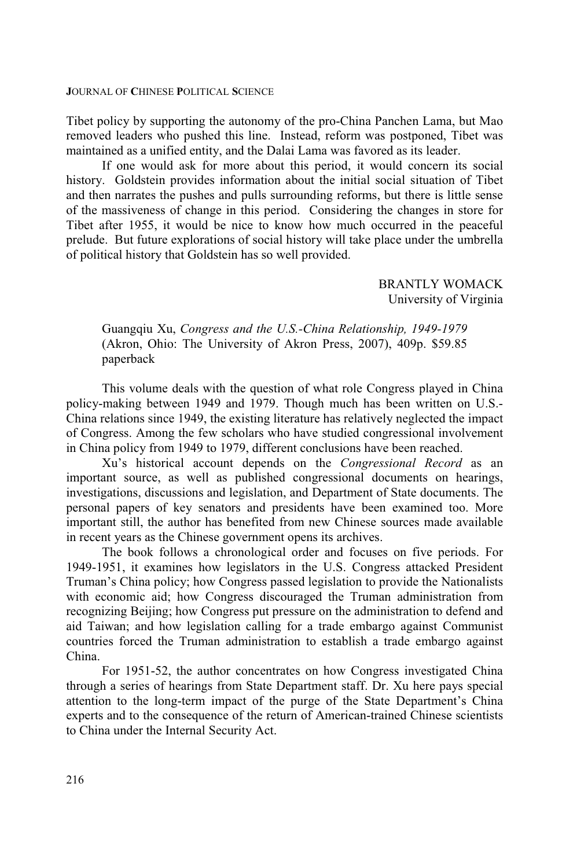Tibet policy by supporting the autonomy of the pro-China Panchen Lama, but Mao removed leaders who pushed this line. Instead, reform was postponed, Tibet was maintained as a unified entity, and the Dalai Lama was favored as its leader.

If one would ask for more about this period, it would concern its social history. Goldstein provides information about the initial social situation of Tibet and then narrates the pushes and pulls surrounding reforms, but there is little sense of the massiveness of change in this period. Considering the changes in store for Tibet after 1955, it would be nice to know how much occurred in the peaceful prelude. But future explorations of social history will take place under the umbrella of political history that Goldstein has so well provided.

> BRANTLY WOMACK University of Virginia

Guangqiu Xu, *Congress and the U.S.-China Relationship, 1949-1979* (Akron, Ohio: The University of Akron Press, 2007), 409p. \$59.85 paperback

This volume deals with the question of what role Congress played in China policy-making between 1949 and 1979. Though much has been written on U.S.- China relations since 1949, the existing literature has relatively neglected the impact of Congress. Among the few scholars who have studied congressional involvement in China policy from 1949 to 1979, different conclusions have been reached.

Xu's historical account depends on the *Congressional Record* as an important source, as well as published congressional documents on hearings, investigations, discussions and legislation, and Department of State documents. The personal papers of key senators and presidents have been examined too. More important still, the author has benefited from new Chinese sources made available in recent years as the Chinese government opens its archives.

The book follows a chronological order and focuses on five periods. For 1949-1951, it examines how legislators in the U.S. Congress attacked President Truman's China policy; how Congress passed legislation to provide the Nationalists with economic aid; how Congress discouraged the Truman administration from recognizing Beijing; how Congress put pressure on the administration to defend and aid Taiwan; and how legislation calling for a trade embargo against Communist countries forced the Truman administration to establish a trade embargo against China.

For 1951-52, the author concentrates on how Congress investigated China through a series of hearings from State Department staff. Dr. Xu here pays special attention to the long-term impact of the purge of the State Department's China experts and to the consequence of the return of American-trained Chinese scientists to China under the Internal Security Act.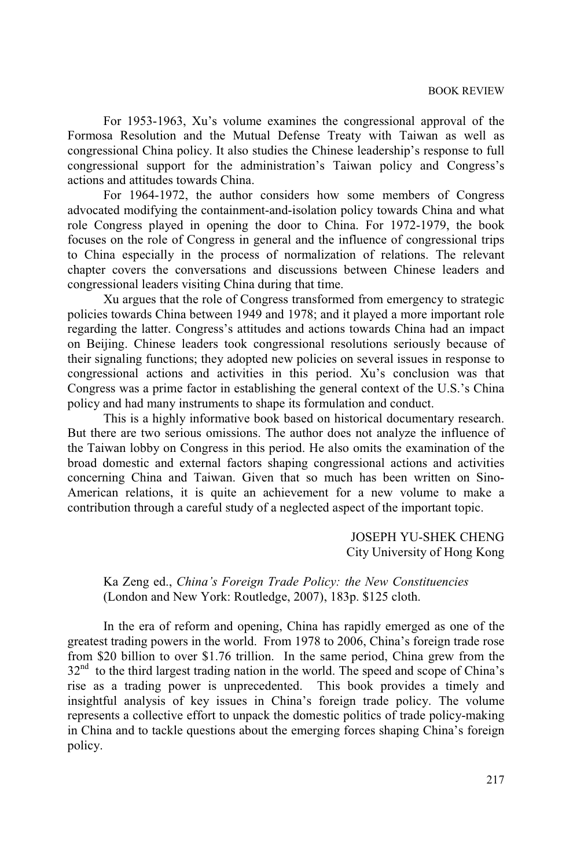For 1953-1963, Xu's volume examines the congressional approval of the Formosa Resolution and the Mutual Defense Treaty with Taiwan as well as congressional China policy. It also studies the Chinese leadership's response to full congressional support for the administration's Taiwan policy and Congress's actions and attitudes towards China.

For 1964-1972, the author considers how some members of Congress advocated modifying the containment-and-isolation policy towards China and what role Congress played in opening the door to China. For 1972-1979, the book focuses on the role of Congress in general and the influence of congressional trips to China especially in the process of normalization of relations. The relevant chapter covers the conversations and discussions between Chinese leaders and congressional leaders visiting China during that time.

Xu argues that the role of Congress transformed from emergency to strategic policies towards China between 1949 and 1978; and it played a more important role regarding the latter. Congress's attitudes and actions towards China had an impact on Beijing. Chinese leaders took congressional resolutions seriously because of their signaling functions; they adopted new policies on several issues in response to congressional actions and activities in this period. Xu's conclusion was that Congress was a prime factor in establishing the general context of the U.S.'s China policy and had many instruments to shape its formulation and conduct.

This is a highly informative book based on historical documentary research. But there are two serious omissions. The author does not analyze the influence of the Taiwan lobby on Congress in this period. He also omits the examination of the broad domestic and external factors shaping congressional actions and activities concerning China and Taiwan. Given that so much has been written on Sino-American relations, it is quite an achievement for a new volume to make a contribution through a careful study of a neglected aspect of the important topic.

> JOSEPH YU-SHEK CHENG City University of Hong Kong

Ka Zeng ed., *China's Foreign Trade Policy: the New Constituencies* (London and New York: Routledge, 2007), 183p. \$125 cloth.

In the era of reform and opening, China has rapidly emerged as one of the greatest trading powers in the world. From 1978 to 2006, China's foreign trade rose from \$20 billion to over \$1.76 trillion. In the same period, China grew from the 32<sup>nd</sup> to the third largest trading nation in the world. The speed and scope of China's rise as a trading power is unprecedented. This book provides a timely and insightful analysis of key issues in China's foreign trade policy. The volume represents a collective effort to unpack the domestic politics of trade policy-making in China and to tackle questions about the emerging forces shaping China's foreign policy.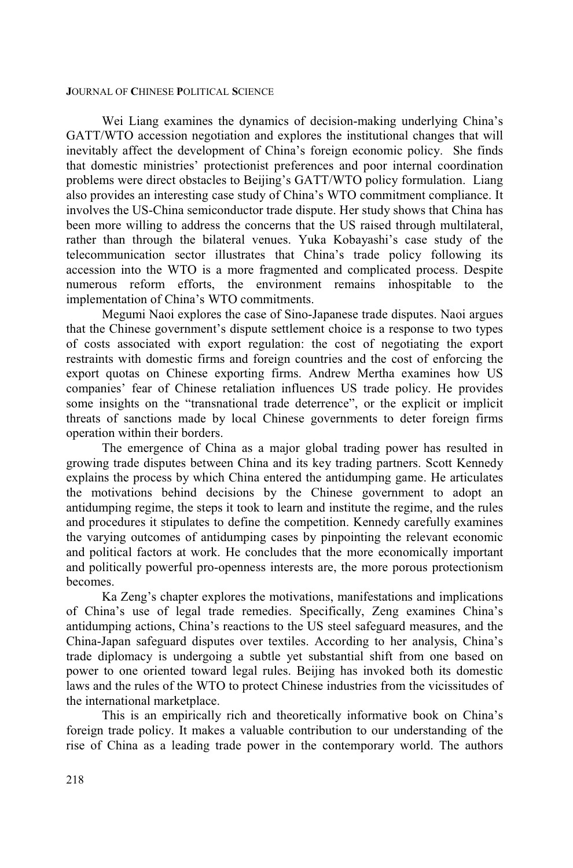Wei Liang examines the dynamics of decision-making underlying China's GATT/WTO accession negotiation and explores the institutional changes that will inevitably affect the development of China's foreign economic policy. She finds that domestic ministries' protectionist preferences and poor internal coordination problems were direct obstacles to Beijing's GATT/WTO policy formulation. Liang also provides an interesting case study of China's WTO commitment compliance. It involves the US-China semiconductor trade dispute. Her study shows that China has been more willing to address the concerns that the US raised through multilateral, rather than through the bilateral venues. Yuka Kobayashi's case study of the telecommunication sector illustrates that China's trade policy following its accession into the WTO is a more fragmented and complicated process. Despite numerous reform efforts, the environment remains inhospitable to the implementation of China's WTO commitments.

Megumi Naoi explores the case of Sino-Japanese trade disputes. Naoi argues that the Chinese government's dispute settlement choice is a response to two types of costs associated with export regulation: the cost of negotiating the export restraints with domestic firms and foreign countries and the cost of enforcing the export quotas on Chinese exporting firms. Andrew Mertha examines how US companies' fear of Chinese retaliation influences US trade policy. He provides some insights on the "transnational trade deterrence", or the explicit or implicit threats of sanctions made by local Chinese governments to deter foreign firms operation within their borders.

The emergence of China as a major global trading power has resulted in growing trade disputes between China and its key trading partners. Scott Kennedy explains the process by which China entered the antidumping game. He articulates the motivations behind decisions by the Chinese government to adopt an antidumping regime, the steps it took to learn and institute the regime, and the rules and procedures it stipulates to define the competition. Kennedy carefully examines the varying outcomes of antidumping cases by pinpointing the relevant economic and political factors at work. He concludes that the more economically important and politically powerful pro-openness interests are, the more porous protectionism becomes.

Ka Zeng's chapter explores the motivations, manifestations and implications of China's use of legal trade remedies. Specifically, Zeng examines China's antidumping actions, China's reactions to the US steel safeguard measures, and the China-Japan safeguard disputes over textiles. According to her analysis, China's trade diplomacy is undergoing a subtle yet substantial shift from one based on power to one oriented toward legal rules. Beijing has invoked both its domestic laws and the rules of the WTO to protect Chinese industries from the vicissitudes of the international marketplace.

This is an empirically rich and theoretically informative book on China's foreign trade policy. It makes a valuable contribution to our understanding of the rise of China as a leading trade power in the contemporary world. The authors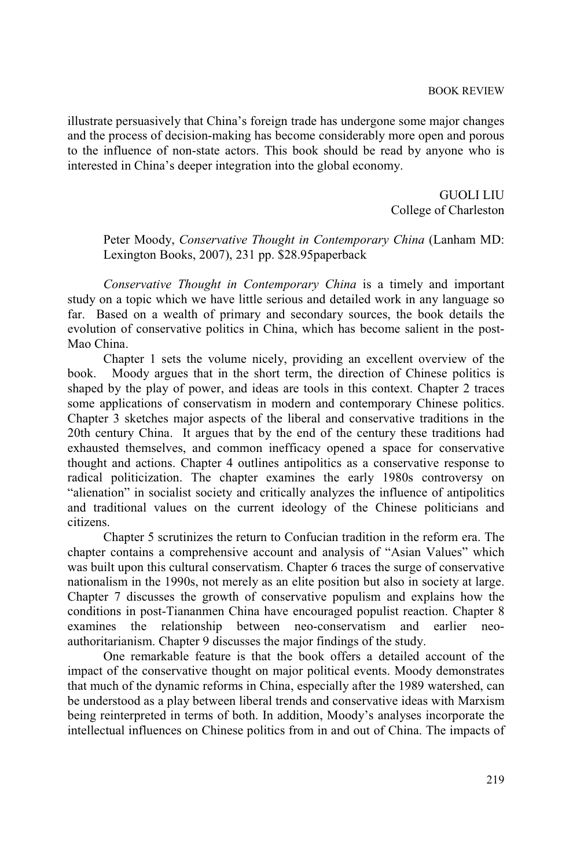illustrate persuasively that China's foreign trade has undergone some major changes and the process of decision-making has become considerably more open and porous to the influence of non-state actors. This book should be read by anyone who is interested in China's deeper integration into the global economy.

> GUOLI LIU College of Charleston

Peter Moody, *Conservative Thought in Contemporary China* (Lanham MD: Lexington Books, 2007), 231 pp. \$28.95paperback

*Conservative Thought in Contemporary China* is a timely and important study on a topic which we have little serious and detailed work in any language so far. Based on a wealth of primary and secondary sources, the book details the evolution of conservative politics in China, which has become salient in the post-Mao China.

Chapter 1 sets the volume nicely, providing an excellent overview of the book. Moody argues that in the short term, the direction of Chinese politics is shaped by the play of power, and ideas are tools in this context. Chapter 2 traces some applications of conservatism in modern and contemporary Chinese politics. Chapter 3 sketches major aspects of the liberal and conservative traditions in the 20th century China. It argues that by the end of the century these traditions had exhausted themselves, and common inefficacy opened a space for conservative thought and actions. Chapter 4 outlines antipolitics as a conservative response to radical politicization. The chapter examines the early 1980s controversy on "alienation" in socialist society and critically analyzes the influence of antipolitics and traditional values on the current ideology of the Chinese politicians and citizens.

Chapter 5 scrutinizes the return to Confucian tradition in the reform era. The chapter contains a comprehensive account and analysis of "Asian Values" which was built upon this cultural conservatism. Chapter 6 traces the surge of conservative nationalism in the 1990s, not merely as an elite position but also in society at large. Chapter 7 discusses the growth of conservative populism and explains how the conditions in post-Tiananmen China have encouraged populist reaction. Chapter 8 examines the relationship between neo-conservatism and earlier neoauthoritarianism. Chapter 9 discusses the major findings of the study.

One remarkable feature is that the book offers a detailed account of the impact of the conservative thought on major political events. Moody demonstrates that much of the dynamic reforms in China, especially after the 1989 watershed, can be understood as a play between liberal trends and conservative ideas with Marxism being reinterpreted in terms of both. In addition, Moody's analyses incorporate the intellectual influences on Chinese politics from in and out of China. The impacts of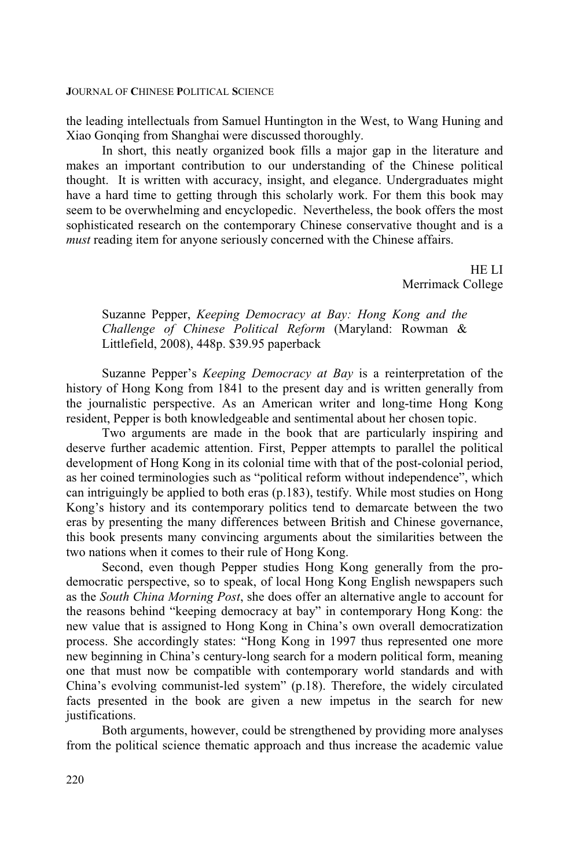the leading intellectuals from Samuel Huntington in the West, to Wang Huning and Xiao Gonqing from Shanghai were discussed thoroughly.

In short, this neatly organized book fills a major gap in the literature and makes an important contribution to our understanding of the Chinese political thought. It is written with accuracy, insight, and elegance. Undergraduates might have a hard time to getting through this scholarly work. For them this book may seem to be overwhelming and encyclopedic. Nevertheless, the book offers the most sophisticated research on the contemporary Chinese conservative thought and is a *must* reading item for anyone seriously concerned with the Chinese affairs.

> HE LI Merrimack College

Suzanne Pepper, *Keeping Democracy at Bay: Hong Kong and the Challenge of Chinese Political Reform* (Maryland: Rowman & Littlefield, 2008), 448p. \$39.95 paperback

Suzanne Pepper's *Keeping Democracy at Bay* is a reinterpretation of the history of Hong Kong from 1841 to the present day and is written generally from the journalistic perspective. As an American writer and long-time Hong Kong resident, Pepper is both knowledgeable and sentimental about her chosen topic.

Two arguments are made in the book that are particularly inspiring and deserve further academic attention. First, Pepper attempts to parallel the political development of Hong Kong in its colonial time with that of the post-colonial period, as her coined terminologies such as "political reform without independence", which can intriguingly be applied to both eras (p.183), testify. While most studies on Hong Kong's history and its contemporary politics tend to demarcate between the two eras by presenting the many differences between British and Chinese governance, this book presents many convincing arguments about the similarities between the two nations when it comes to their rule of Hong Kong.

Second, even though Pepper studies Hong Kong generally from the prodemocratic perspective, so to speak, of local Hong Kong English newspapers such as the *South China Morning Post*, she does offer an alternative angle to account for the reasons behind "keeping democracy at bay" in contemporary Hong Kong: the new value that is assigned to Hong Kong in China's own overall democratization process. She accordingly states: "Hong Kong in 1997 thus represented one more new beginning in China's century-long search for a modern political form, meaning one that must now be compatible with contemporary world standards and with China's evolving communist-led system" (p.18). Therefore, the widely circulated facts presented in the book are given a new impetus in the search for new justifications.

Both arguments, however, could be strengthened by providing more analyses from the political science thematic approach and thus increase the academic value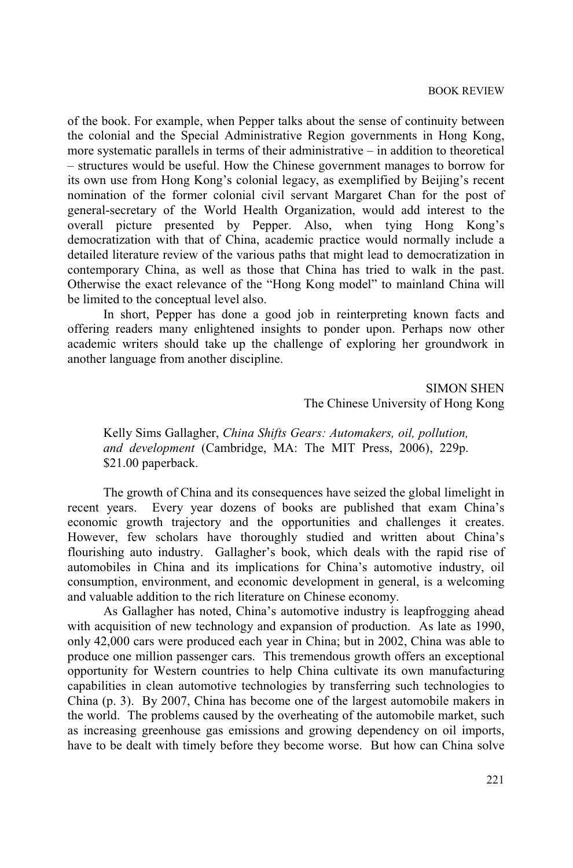of the book. For example, when Pepper talks about the sense of continuity between the colonial and the Special Administrative Region governments in Hong Kong, more systematic parallels in terms of their administrative – in addition to theoretical – structures would be useful. How the Chinese government manages to borrow for its own use from Hong Kong's colonial legacy, as exemplified by Beijing's recent nomination of the former colonial civil servant Margaret Chan for the post of general-secretary of the World Health Organization, would add interest to the overall picture presented by Pepper. Also, when tying Hong Kong's democratization with that of China, academic practice would normally include a detailed literature review of the various paths that might lead to democratization in contemporary China, as well as those that China has tried to walk in the past. Otherwise the exact relevance of the "Hong Kong model" to mainland China will be limited to the conceptual level also.

In short, Pepper has done a good job in reinterpreting known facts and offering readers many enlightened insights to ponder upon. Perhaps now other academic writers should take up the challenge of exploring her groundwork in another language from another discipline.

> SIMON SHEN The Chinese University of Hong Kong

Kelly Sims Gallagher, *China Shifts Gears: Automakers, oil, pollution, and development* (Cambridge, MA: The MIT Press, 2006), 229p. \$21.00 paperback.

The growth of China and its consequences have seized the global limelight in recent years. Every year dozens of books are published that exam China's economic growth trajectory and the opportunities and challenges it creates. However, few scholars have thoroughly studied and written about China's flourishing auto industry. Gallagher's book, which deals with the rapid rise of automobiles in China and its implications for China's automotive industry, oil consumption, environment, and economic development in general, is a welcoming and valuable addition to the rich literature on Chinese economy.

As Gallagher has noted, China's automotive industry is leapfrogging ahead with acquisition of new technology and expansion of production. As late as 1990, only 42,000 cars were produced each year in China; but in 2002, China was able to produce one million passenger cars. This tremendous growth offers an exceptional opportunity for Western countries to help China cultivate its own manufacturing capabilities in clean automotive technologies by transferring such technologies to China (p. 3). By 2007, China has become one of the largest automobile makers in the world. The problems caused by the overheating of the automobile market, such as increasing greenhouse gas emissions and growing dependency on oil imports, have to be dealt with timely before they become worse. But how can China solve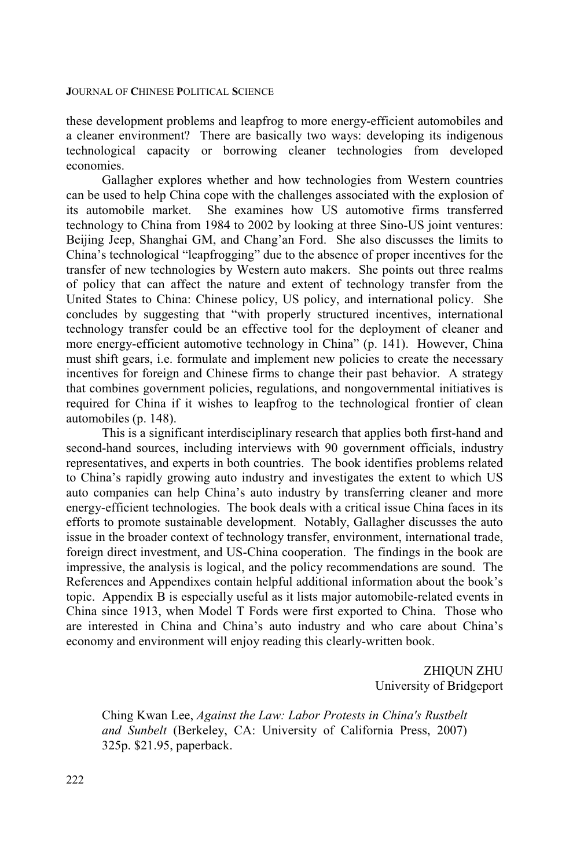these development problems and leapfrog to more energy-efficient automobiles and a cleaner environment? There are basically two ways: developing its indigenous technological capacity or borrowing cleaner technologies from developed economies.

Gallagher explores whether and how technologies from Western countries can be used to help China cope with the challenges associated with the explosion of its automobile market. She examines how US automotive firms transferred She examines how US automotive firms transferred technology to China from 1984 to 2002 by looking at three Sino-US joint ventures: Beijing Jeep, Shanghai GM, and Chang'an Ford. She also discusses the limits to China's technological "leapfrogging" due to the absence of proper incentives for the transfer of new technologies by Western auto makers. She points out three realms of policy that can affect the nature and extent of technology transfer from the United States to China: Chinese policy, US policy, and international policy. She concludes by suggesting that "with properly structured incentives, international technology transfer could be an effective tool for the deployment of cleaner and more energy-efficient automotive technology in China" (p. 141). However, China must shift gears, i.e. formulate and implement new policies to create the necessary incentives for foreign and Chinese firms to change their past behavior. A strategy that combines government policies, regulations, and nongovernmental initiatives is required for China if it wishes to leapfrog to the technological frontier of clean automobiles (p. 148).

This is a significant interdisciplinary research that applies both first-hand and second-hand sources, including interviews with 90 government officials, industry representatives, and experts in both countries. The book identifies problems related to China's rapidly growing auto industry and investigates the extent to which US auto companies can help China's auto industry by transferring cleaner and more energy-efficient technologies. The book deals with a critical issue China faces in its efforts to promote sustainable development. Notably, Gallagher discusses the auto issue in the broader context of technology transfer, environment, international trade, foreign direct investment, and US-China cooperation. The findings in the book are impressive, the analysis is logical, and the policy recommendations are sound. The References and Appendixes contain helpful additional information about the book's topic. Appendix B is especially useful as it lists major automobile-related events in China since 1913, when Model T Fords were first exported to China. Those who are interested in China and China's auto industry and who care about China's economy and environment will enjoy reading this clearly-written book.

> ZHIQUN ZHU University of Bridgeport

Ching Kwan Lee, *Against the Law: Labor Protests in China's Rustbelt and Sunbelt* (Berkeley, CA: University of California Press, 2007) 325p. \$21.95, paperback.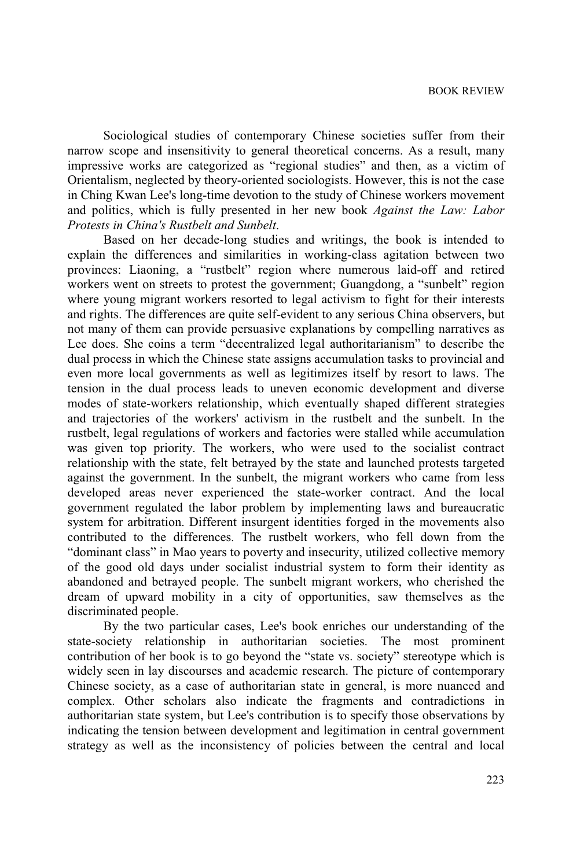Sociological studies of contemporary Chinese societies suffer from their narrow scope and insensitivity to general theoretical concerns. As a result, many impressive works are categorized as "regional studies" and then, as a victim of Orientalism, neglected by theory-oriented sociologists. However, this is not the case in Ching Kwan Lee's long-time devotion to the study of Chinese workers movement and politics, which is fully presented in her new book *Against the Law: Labor Protests in China's Rustbelt and Sunbelt*.

Based on her decade-long studies and writings, the book is intended to explain the differences and similarities in working-class agitation between two provinces: Liaoning, a "rustbelt" region where numerous laid-off and retired workers went on streets to protest the government; Guangdong, a "sunbelt" region where young migrant workers resorted to legal activism to fight for their interests and rights. The differences are quite self-evident to any serious China observers, but not many of them can provide persuasive explanations by compelling narratives as Lee does. She coins a term "decentralized legal authoritarianism" to describe the dual process in which the Chinese state assigns accumulation tasks to provincial and even more local governments as well as legitimizes itself by resort to laws. The tension in the dual process leads to uneven economic development and diverse modes of state-workers relationship, which eventually shaped different strategies and trajectories of the workers' activism in the rustbelt and the sunbelt. In the rustbelt, legal regulations of workers and factories were stalled while accumulation was given top priority. The workers, who were used to the socialist contract relationship with the state, felt betrayed by the state and launched protests targeted against the government. In the sunbelt, the migrant workers who came from less developed areas never experienced the state-worker contract. And the local government regulated the labor problem by implementing laws and bureaucratic system for arbitration. Different insurgent identities forged in the movements also contributed to the differences. The rustbelt workers, who fell down from the "dominant class" in Mao years to poverty and insecurity, utilized collective memory of the good old days under socialist industrial system to form their identity as abandoned and betrayed people. The sunbelt migrant workers, who cherished the dream of upward mobility in a city of opportunities, saw themselves as the discriminated people.

By the two particular cases, Lee's book enriches our understanding of the state-society relationship in authoritarian societies. The most prominent contribution of her book is to go beyond the "state vs. society" stereotype which is widely seen in lay discourses and academic research. The picture of contemporary Chinese society, as a case of authoritarian state in general, is more nuanced and complex. Other scholars also indicate the fragments and contradictions in authoritarian state system, but Lee's contribution is to specify those observations by indicating the tension between development and legitimation in central government strategy as well as the inconsistency of policies between the central and local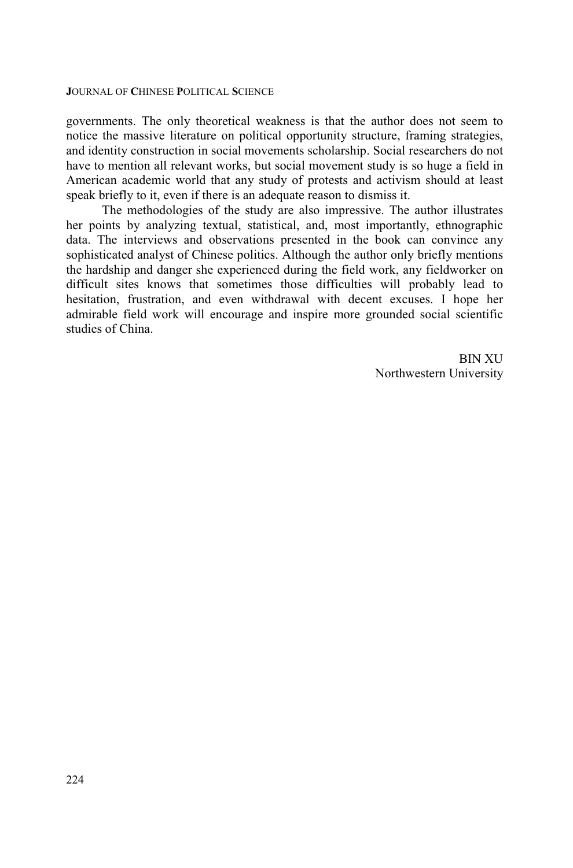governments. The only theoretical weakness is that the author does not seem to notice the massive literature on political opportunity structure, framing strategies, and identity construction in social movements scholarship. Social researchers do not have to mention all relevant works, but social movement study is so huge a field in American academic world that any study of protests and activism should at least speak briefly to it, even if there is an adequate reason to dismiss it.

The methodologies of the study are also impressive. The author illustrates her points by analyzing textual, statistical, and, most importantly, ethnographic data. The interviews and observations presented in the book can convince any sophisticated analyst of Chinese politics. Although the author only briefly mentions the hardship and danger she experienced during the field work, any fieldworker on difficult sites knows that sometimes those difficulties will probably lead to hesitation, frustration, and even withdrawal with decent excuses. I hope her admirable field work will encourage and inspire more grounded social scientific studies of China.

> BIN XU Northwestern University